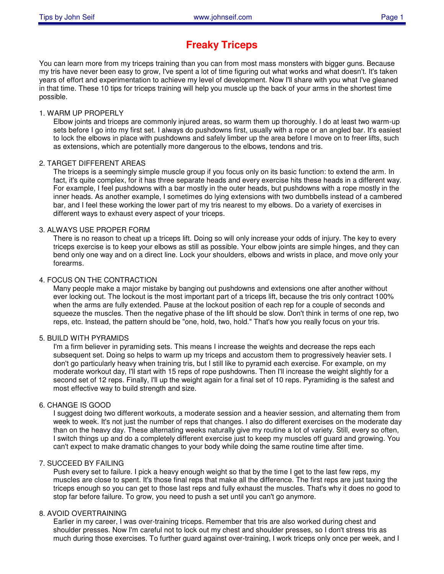# **Freaky Triceps**

You can learn more from my triceps training than you can from most mass monsters with bigger guns. Because my tris have never been easy to grow, I've spent a lot of time figuring out what works and what doesn't. It's taken years of effort and experimentation to achieve my level of development. Now I'll share with you what I've gleaned in that time. These 10 tips for triceps training will help you muscle up the back of your arms in the shortest time possible.

### 1. WARM UP PROPERLY

Elbow joints and triceps are commonly injured areas, so warm them up thoroughly. I do at least two warm-up sets before I go into my first set. I always do pushdowns first, usually with a rope or an angled bar. It's easiest to lock the elbows in place with pushdowns and safely limber up the area before I move on to freer lifts, such as extensions, which are potentially more dangerous to the elbows, tendons and tris.

## 2. TARGET DIFFERENT AREAS

The triceps is a seemingly simple muscle group if you focus only on its basic function: to extend the arm. In fact, it's quite complex, for it has three separate heads and every exercise hits these heads in a different way. For example, I feel pushdowns with a bar mostly in the outer heads, but pushdowns with a rope mostly in the inner heads. As another example, I sometimes do lying extensions with two dumbbells instead of a cambered bar, and I feel these working the lower part of my tris nearest to my elbows. Do a variety of exercises in different ways to exhaust every aspect of your triceps.

## 3. ALWAYS USE PROPER FORM

There is no reason to cheat up a triceps lift. Doing so will only increase your odds of injury. The key to every triceps exercise is to keep your elbows as still as possible. Your elbow joints are simple hinges, and they can bend only one way and on a direct line. Lock your shoulders, elbows and wrists in place, and move only your forearms.

## 4. FOCUS ON THE CONTRACTION

Many people make a major mistake by banging out pushdowns and extensions one after another without ever locking out. The lockout is the most important part of a triceps lift, because the tris only contract 100% when the arms are fully extended. Pause at the lockout position of each rep for a couple of seconds and squeeze the muscles. Then the negative phase of the lift should be slow. Don't think in terms of one rep, two reps, etc. Instead, the pattern should be "one, hold, two, hold." That's how you really focus on your tris.

#### 5. BUILD WITH PYRAMIDS

I'm a firm believer in pyramiding sets. This means I increase the weights and decrease the reps each subsequent set. Doing so helps to warm up my triceps and accustom them to progressively heavier sets. I don't go particularly heavy when training tris, but I still like to pyramid each exercise. For example, on my moderate workout day, I'll start with 15 reps of rope pushdowns. Then I'll increase the weight slightly for a second set of 12 reps. Finally, I'll up the weight again for a final set of 10 reps. Pyramiding is the safest and most effective way to build strength and size.

#### 6. CHANGE IS GOOD

I suggest doing two different workouts, a moderate session and a heavier session, and alternating them from week to week. It's not just the number of reps that changes. I also do different exercises on the moderate day than on the heavy day. These alternating weeks naturally give my routine a lot of variety. Still, every so often, I switch things up and do a completely different exercise just to keep my muscles off guard and growing. You can't expect to make dramatic changes to your body while doing the same routine time after time.

#### 7. SUCCEED BY FAILING

Push every set to failure. I pick a heavy enough weight so that by the time I get to the last few reps, my muscles are close to spent. It's those final reps that make all the difference. The first reps are just taxing the triceps enough so you can get to those last reps and fully exhaust the muscles. That's why it does no good to stop far before failure. To grow, you need to push a set until you can't go anymore.

#### 8. AVOID OVERTRAINING

Earlier in my career, I was over-training triceps. Remember that tris are also worked during chest and shoulder presses. Now I'm careful not to lock out my chest and shoulder presses, so I don't stress tris as much during those exercises. To further guard against over-training, I work triceps only once per week, and I